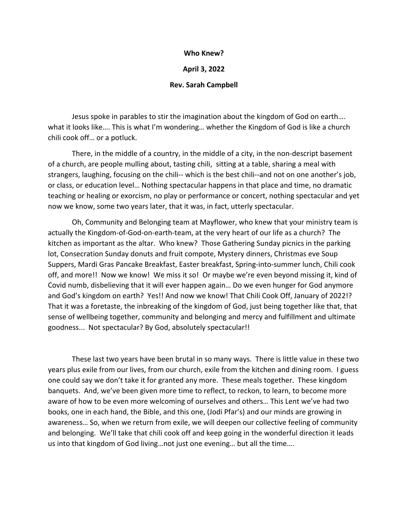## **Who Knew?**

## **April 3, 2022**

## **Rev. Sarah Campbell**

Jesus spoke in parables to stir the imagination about the kingdom of God on earth…. what it looks like…. This is what I'm wondering… whether the Kingdom of God is like a church chili cook off… or a potluck.

There, in the middle of a country, in the middle of a city, in the non-descript basement of a church, are people mulling about, tasting chili, sitting at a table, sharing a meal with strangers, laughing, focusing on the chili-- which is the best chili--and not on one another's job, or class, or education level… Nothing spectacular happens in that place and time, no dramatic teaching or healing or exorcism, no play or performance or concert, nothing spectacular and yet now we know, some two years later, that it was, in fact, utterly spectacular.

Oh, Community and Belonging team at Mayflower, who knew that your ministry team is actually the Kingdom-of-God-on-earth-team, at the very heart of our life as a church? The kitchen as important as the altar. Who knew? Those Gathering Sunday picnics in the parking lot, Consecration Sunday donuts and fruit compote, Mystery dinners, Christmas eve Soup Suppers, Mardi Gras Pancake Breakfast, Easter breakfast, Spring-into-summer lunch, Chili cook off, and more!! Now we know! We miss it so! Or maybe we're even beyond missing it, kind of Covid numb, disbelieving that it will ever happen again… Do we even hunger for God anymore and God's kingdom on earth? Yes!! And now we know! That Chili Cook Off, January of 2022!? That it was a foretaste, the inbreaking of the kingdom of God, just being together like that, that sense of wellbeing together, community and belonging and mercy and fulfillment and ultimate goodness... Not spectacular? By God, absolutely spectacular!!

These last two years have been brutal in so many ways. There is little value in these two years plus exile from our lives, from our church, exile from the kitchen and dining room. I guess one could say we don't take it for granted any more. These meals together. These kingdom banquets. And, we've been given more time to reflect, to reckon, to learn, to become more aware of how to be even more welcoming of ourselves and others… This Lent we've had two books, one in each hand, the Bible, and this one, (Jodi Pfar's) and our minds are growing in awareness… So, when we return from exile, we will deepen our collective feeling of community and belonging. We'll take that chili cook off and keep going in the wonderful direction it leads us into that kingdom of God living…not just one evening… but all the time….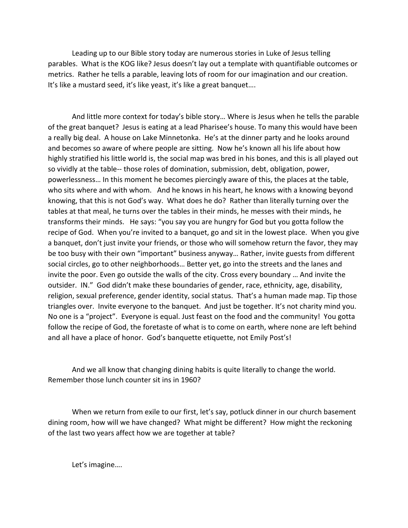Leading up to our Bible story today are numerous stories in Luke of Jesus telling parables. What is the KOG like? Jesus doesn't lay out a template with quantifiable outcomes or metrics. Rather he tells a parable, leaving lots of room for our imagination and our creation. It's like a mustard seed, it's like yeast, it's like a great banquet….

And little more context for today's bible story… Where is Jesus when he tells the parable of the great banquet? Jesus is eating at a lead Pharisee's house. To many this would have been a really big deal. A house on Lake Minnetonka. He's at the dinner party and he looks around and becomes so aware of where people are sitting. Now he's known all his life about how highly stratified his little world is, the social map was bred in his bones, and this is all played out so vividly at the table-- those roles of domination, submission, debt, obligation, power, powerlessness… In this moment he becomes piercingly aware of this, the places at the table, who sits where and with whom. And he knows in his heart, he knows with a knowing beyond knowing, that this is not God's way. What does he do? Rather than literally turning over the tables at that meal, he turns over the tables in their minds, he messes with their minds, he transforms their minds. He says: "you say you are hungry for God but you gotta follow the recipe of God. When you're invited to a banquet, go and sit in the lowest place. When you give a banquet, don't just invite your friends, or those who will somehow return the favor, they may be too busy with their own "important" business anyway… Rather, invite guests from different social circles, go to other neighborhoods… Better yet, go into the streets and the lanes and invite the poor. Even go outside the walls of the city. Cross every boundary … And invite the outsider. IN." God didn't make these boundaries of gender, race, ethnicity, age, disability, religion, sexual preference, gender identity, social status. That's a human made map. Tip those triangles over. Invite everyone to the banquet. And just be together. It's not charity mind you. No one is a "project". Everyone is equal. Just feast on the food and the community! You gotta follow the recipe of God, the foretaste of what is to come on earth, where none are left behind and all have a place of honor. God's banquette etiquette, not Emily Post's!

And we all know that changing dining habits is quite literally to change the world. Remember those lunch counter sit ins in 1960?

When we return from exile to our first, let's say, potluck dinner in our church basement dining room, how will we have changed? What might be different? How might the reckoning of the last two years affect how we are together at table?

Let's imagine….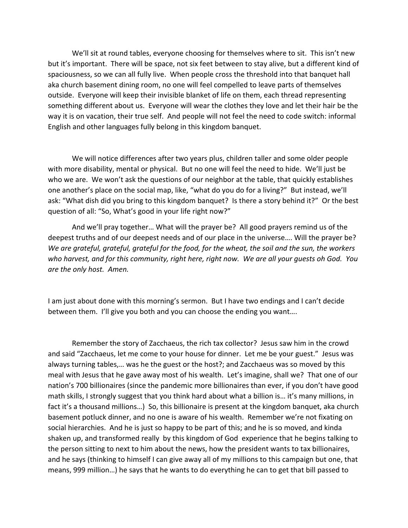We'll sit at round tables, everyone choosing for themselves where to sit. This isn't new but it's important. There will be space, not six feet between to stay alive, but a different kind of spaciousness, so we can all fully live. When people cross the threshold into that banquet hall aka church basement dining room, no one will feel compelled to leave parts of themselves outside. Everyone will keep their invisible blanket of life on them, each thread representing something different about us. Everyone will wear the clothes they love and let their hair be the way it is on vacation, their true self. And people will not feel the need to code switch: informal English and other languages fully belong in this kingdom banquet.

We will notice differences after two years plus, children taller and some older people with more disability, mental or physical. But no one will feel the need to hide. We'll just be who we are. We won't ask the questions of our neighbor at the table, that quickly establishes one another's place on the social map, like, "what do you do for a living?" But instead, we'll ask: "What dish did you bring to this kingdom banquet? Is there a story behind it?" Or the best question of all: "So, What's good in your life right now?"

And we'll pray together… What will the prayer be? All good prayers remind us of the deepest truths and of our deepest needs and of our place in the universe…. Will the prayer be? *We are grateful, grateful, grateful for the food, for the wheat, the soil and the sun, the workers who harvest, and for this community, right here, right now. We are all your guests oh God. You are the only host. Amen.*

I am just about done with this morning's sermon. But I have two endings and I can't decide between them. I'll give you both and you can choose the ending you want….

Remember the story of Zacchaeus, the rich tax collector? Jesus saw him in the crowd and said "Zacchaeus, let me come to your house for dinner. Let me be your guest." Jesus was always turning tables,… was he the guest or the host?; and Zacchaeus was so moved by this meal with Jesus that he gave away most of his wealth. Let's imagine, shall we? That one of our nation's 700 billionaires (since the pandemic more billionaires than ever, if you don't have good math skills, I strongly suggest that you think hard about what a billion is… it's many millions, in fact it's a thousand millions...) So, this billionaire is present at the kingdom banquet, aka church basement potluck dinner, and no one is aware of his wealth. Remember we're not fixating on social hierarchies. And he is just so happy to be part of this; and he is so moved, and kinda shaken up, and transformed really by this kingdom of God experience that he begins talking to the person sitting to next to him about the news, how the president wants to tax billionaires, and he says (thinking to himself I can give away all of my millions to this campaign but one, that means, 999 million…) he says that he wants to do everything he can to get that bill passed to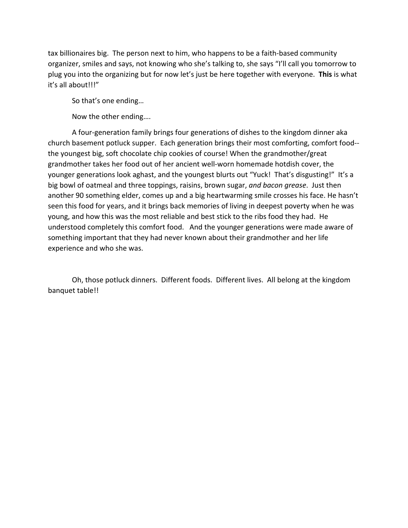tax billionaires big. The person next to him, who happens to be a faith-based community organizer, smiles and says, not knowing who she's talking to, she says "I'll call you tomorrow to plug you into the organizing but for now let's just be here together with everyone. **This** is what it's all about!!!"

So that's one ending…

Now the other ending….

A four-generation family brings four generations of dishes to the kingdom dinner aka church basement potluck supper. Each generation brings their most comforting, comfort food- the youngest big, soft chocolate chip cookies of course! When the grandmother/great grandmother takes her food out of her ancient well-worn homemade hotdish cover, the younger generations look aghast, and the youngest blurts out "Yuck! That's disgusting!" It's a big bowl of oatmeal and three toppings, raisins, brown sugar, *and bacon grease*. Just then another 90 something elder, comes up and a big heartwarming smile crosses his face. He hasn't seen this food for years, and it brings back memories of living in deepest poverty when he was young, and how this was the most reliable and best stick to the ribs food they had. He understood completely this comfort food. And the younger generations were made aware of something important that they had never known about their grandmother and her life experience and who she was.

Oh, those potluck dinners. Different foods. Different lives. All belong at the kingdom banquet table!!